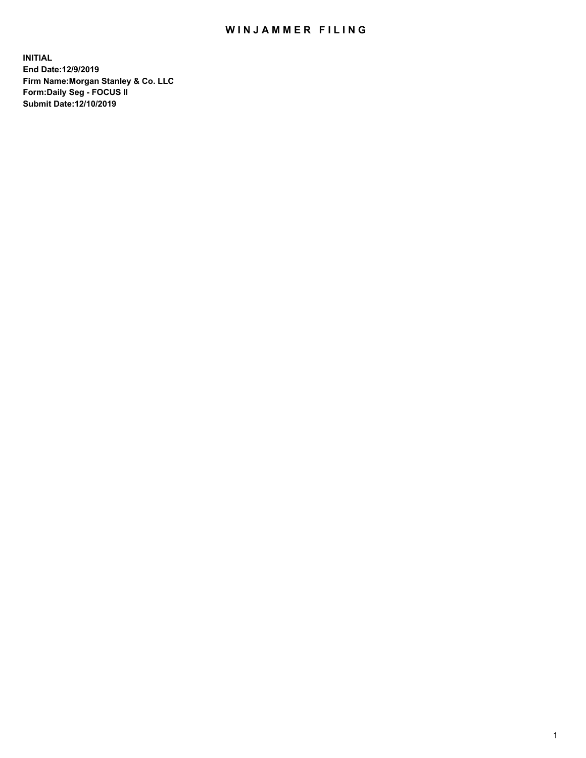## WIN JAMMER FILING

**INITIAL End Date:12/9/2019 Firm Name:Morgan Stanley & Co. LLC Form:Daily Seg - FOCUS II Submit Date:12/10/2019**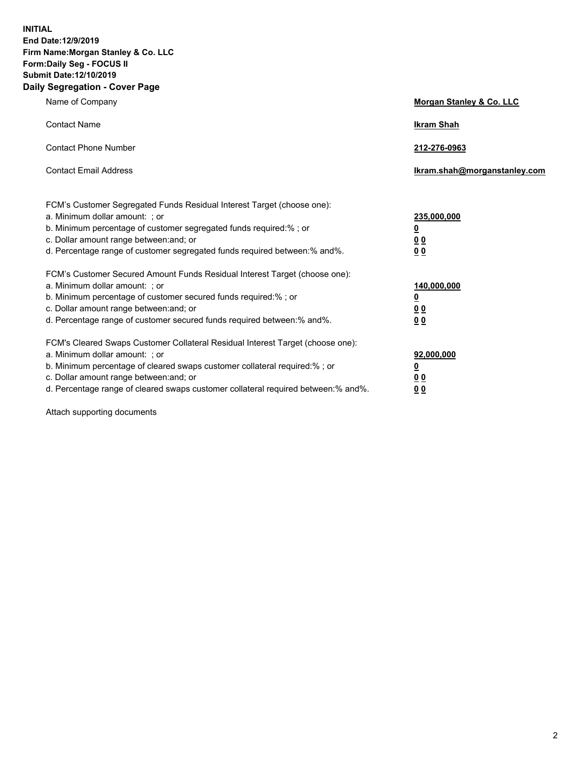**INITIAL End Date:12/9/2019 Firm Name:Morgan Stanley & Co. LLC Form:Daily Seg - FOCUS II Submit Date:12/10/2019 Daily Segregation - Cover Page**

| Name of Company                                                                                                                                                                                                                                                                                                               | Morgan Stanley & Co. LLC                                    |
|-------------------------------------------------------------------------------------------------------------------------------------------------------------------------------------------------------------------------------------------------------------------------------------------------------------------------------|-------------------------------------------------------------|
| <b>Contact Name</b>                                                                                                                                                                                                                                                                                                           | <b>Ikram Shah</b>                                           |
| <b>Contact Phone Number</b>                                                                                                                                                                                                                                                                                                   | 212-276-0963                                                |
| <b>Contact Email Address</b>                                                                                                                                                                                                                                                                                                  | Ikram.shah@morganstanley.com                                |
| FCM's Customer Segregated Funds Residual Interest Target (choose one):<br>a. Minimum dollar amount: ; or<br>b. Minimum percentage of customer segregated funds required:% ; or<br>c. Dollar amount range between: and; or<br>d. Percentage range of customer segregated funds required between:% and%.                        | 235,000,000<br><u>0</u><br><u>00</u><br>0 <sup>0</sup>      |
| FCM's Customer Secured Amount Funds Residual Interest Target (choose one):<br>a. Minimum dollar amount: ; or<br>b. Minimum percentage of customer secured funds required:%; or<br>c. Dollar amount range between: and; or<br>d. Percentage range of customer secured funds required between:% and%.                           | 140,000,000<br><u>0</u><br>0 <sub>0</sub><br>0 <sub>0</sub> |
| FCM's Cleared Swaps Customer Collateral Residual Interest Target (choose one):<br>a. Minimum dollar amount: ; or<br>b. Minimum percentage of cleared swaps customer collateral required:%; or<br>c. Dollar amount range between: and; or<br>d. Percentage range of cleared swaps customer collateral required between:% and%. | 92,000,000<br><u>0</u><br>0 Q<br>00                         |

Attach supporting documents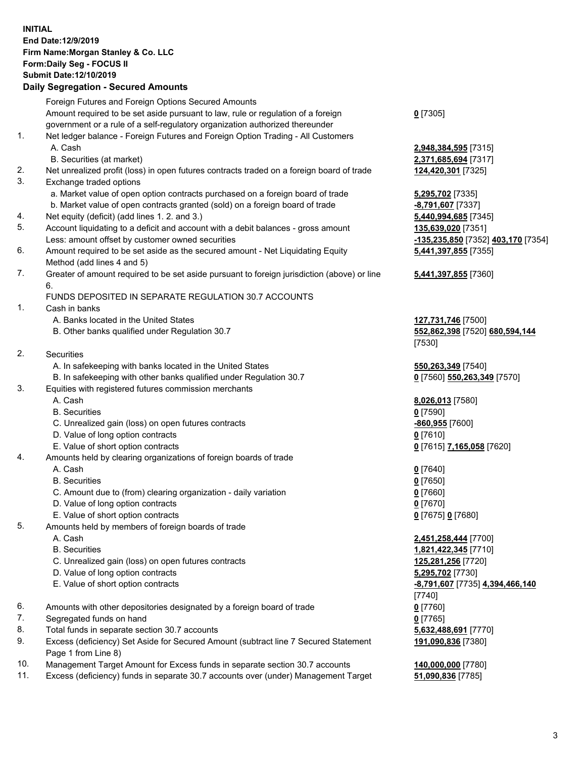## **INITIAL End Date:12/9/2019 Firm Name:Morgan Stanley & Co. LLC Form:Daily Seg - FOCUS II Submit Date:12/10/2019**

## **Daily Segregation - Secured Amounts**

|                | Foreign Futures and Foreign Options Secured Amounts                                               |                                    |
|----------------|---------------------------------------------------------------------------------------------------|------------------------------------|
|                | Amount required to be set aside pursuant to law, rule or regulation of a foreign                  | $0$ [7305]                         |
|                | government or a rule of a self-regulatory organization authorized thereunder                      |                                    |
| 1.             | Net ledger balance - Foreign Futures and Foreign Option Trading - All Customers                   |                                    |
|                | A. Cash                                                                                           | 2,948,384,595 [7315]               |
|                | B. Securities (at market)                                                                         | 2,371,685,694 [7317]               |
| 2.             | Net unrealized profit (loss) in open futures contracts traded on a foreign board of trade         | 124,420,301 [7325]                 |
| 3.             | Exchange traded options                                                                           |                                    |
|                | a. Market value of open option contracts purchased on a foreign board of trade                    | 5,295,702 [7335]                   |
|                | b. Market value of open contracts granted (sold) on a foreign board of trade                      | -8,791,607 [7337]                  |
| 4.             | Net equity (deficit) (add lines 1.2. and 3.)                                                      | 5,440,994,685 [7345]               |
| 5.             | Account liquidating to a deficit and account with a debit balances - gross amount                 | 135,639,020 [7351]                 |
|                | Less: amount offset by customer owned securities                                                  | -135,235,850 [7352] 403,170 [7354] |
| 6.             | Amount required to be set aside as the secured amount - Net Liquidating Equity                    | 5,441,397,855 [7355]               |
|                | Method (add lines 4 and 5)                                                                        |                                    |
| 7.             | Greater of amount required to be set aside pursuant to foreign jurisdiction (above) or line       | 5,441,397,855 [7360]               |
|                | 6.                                                                                                |                                    |
|                | FUNDS DEPOSITED IN SEPARATE REGULATION 30.7 ACCOUNTS                                              |                                    |
| $\mathbf{1}$ . | Cash in banks                                                                                     |                                    |
|                | A. Banks located in the United States                                                             | 127,731,746 [7500]                 |
|                | B. Other banks qualified under Regulation 30.7                                                    | 552,862,398 [7520] 680,594,144     |
|                |                                                                                                   | [7530]                             |
| 2.             | Securities                                                                                        |                                    |
|                | A. In safekeeping with banks located in the United States                                         | 550,263,349 [7540]                 |
|                | B. In safekeeping with other banks qualified under Regulation 30.7                                | 0 [7560] 550,263,349 [7570]        |
| 3.             | Equities with registered futures commission merchants                                             |                                    |
|                | A. Cash                                                                                           | 8,026,013 [7580]                   |
|                | <b>B.</b> Securities                                                                              | $0$ [7590]                         |
|                | C. Unrealized gain (loss) on open futures contracts                                               | -860,955 [7600]                    |
|                | D. Value of long option contracts                                                                 | $0$ [7610]                         |
|                | E. Value of short option contracts                                                                | 0 [7615] 7,165,058 [7620]          |
| 4.             | Amounts held by clearing organizations of foreign boards of trade                                 |                                    |
|                | A. Cash                                                                                           | $0$ [7640]                         |
|                | <b>B.</b> Securities                                                                              |                                    |
|                |                                                                                                   | $0$ [7650]                         |
|                | C. Amount due to (from) clearing organization - daily variation                                   | $0$ [7660]                         |
|                | D. Value of long option contracts                                                                 | $0$ [7670]                         |
| 5.             | E. Value of short option contracts                                                                | 0 [7675] 0 [7680]                  |
|                | Amounts held by members of foreign boards of trade                                                |                                    |
|                | A. Cash                                                                                           | 2,451,258,444 [7700]               |
|                | <b>B.</b> Securities                                                                              | 1,821,422,345 [7710]               |
|                | C. Unrealized gain (loss) on open futures contracts                                               | 125,281,256 [7720]                 |
|                | D. Value of long option contracts                                                                 | 5,295,702 [7730]                   |
|                | E. Value of short option contracts                                                                | -8,791,607 [7735] 4,394,466,140    |
|                |                                                                                                   | [7740]                             |
| 6.             | Amounts with other depositories designated by a foreign board of trade                            | $0$ [7760]                         |
| 7.             | Segregated funds on hand                                                                          | $0$ [7765]                         |
| 8.             | Total funds in separate section 30.7 accounts                                                     | 5,632,488,691 [7770]               |
| 9.             | Excess (deficiency) Set Aside for Secured Amount (subtract line 7 Secured Statement               | 191,090,836 [7380]                 |
|                | Page 1 from Line 8)<br>Menegement Terret Amerika's Evenes funds in concrete section 20.7 secounts |                                    |
| $\Delta$       |                                                                                                   | 440.000.000177001                  |

- 10. Management Target Amount for Excess funds in separate section 30.7 accounts **140,000,000** [7780]<br>11. Excess (deficiency) funds in separate 30.7 accounts over (under) Management Target 51,090,836 [7785]
- 11. Excess (deficiency) funds in separate 30.7 accounts over (under) Management Target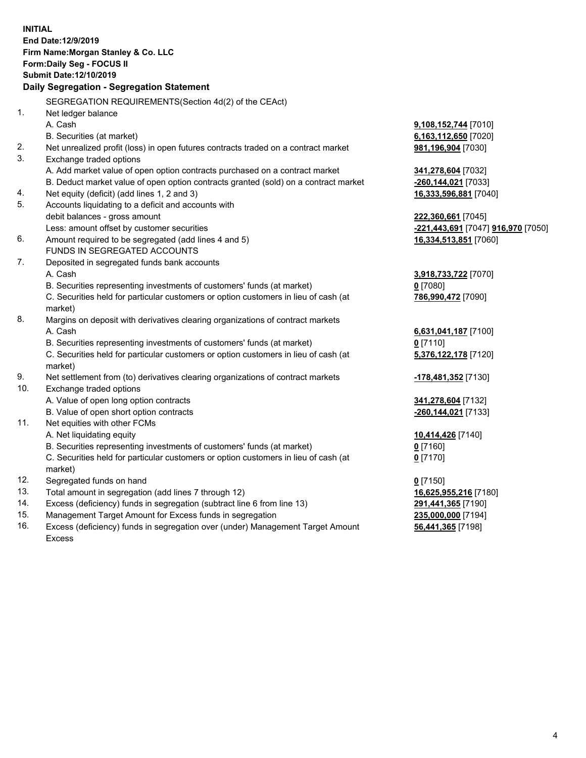**INITIAL End Date:12/9/2019 Firm Name:Morgan Stanley & Co. LLC Form:Daily Seg - FOCUS II Submit Date:12/10/2019 Daily Segregation - Segregation Statement** SEGREGATION REQUIREMENTS(Section 4d(2) of the CEAct) 1. Net ledger balance A. Cash **9,108,152,744** [7010] B. Securities (at market) **6,163,112,650** [7020] 2. Net unrealized profit (loss) in open futures contracts traded on a contract market **981,196,904** [7030] 3. Exchange traded options A. Add market value of open option contracts purchased on a contract market **341,278,604** [7032] B. Deduct market value of open option contracts granted (sold) on a contract market **-260,144,021** [7033] 4. Net equity (deficit) (add lines 1, 2 and 3) **16,333,596,881** [7040] 5. Accounts liquidating to a deficit and accounts with debit balances - gross amount **222,360,661** [7045] Less: amount offset by customer securities **-221,443,691** [7047] **916,970** [7050] 6. Amount required to be segregated (add lines 4 and 5) **16,334,513,851** [7060] FUNDS IN SEGREGATED ACCOUNTS 7. Deposited in segregated funds bank accounts A. Cash **3,918,733,722** [7070] B. Securities representing investments of customers' funds (at market) **0** [7080] C. Securities held for particular customers or option customers in lieu of cash (at market) **786,990,472** [7090] 8. Margins on deposit with derivatives clearing organizations of contract markets A. Cash **6,631,041,187** [7100] B. Securities representing investments of customers' funds (at market) **0** [7110] C. Securities held for particular customers or option customers in lieu of cash (at market) **5,376,122,178** [7120] 9. Net settlement from (to) derivatives clearing organizations of contract markets **-178,481,352** [7130] 10. Exchange traded options A. Value of open long option contracts **341,278,604** [7132] B. Value of open short option contracts **-260,144,021** [7133] 11. Net equities with other FCMs A. Net liquidating equity **10,414,426** [7140] B. Securities representing investments of customers' funds (at market) **0** [7160] C. Securities held for particular customers or option customers in lieu of cash (at market) **0** [7170] 12. Segregated funds on hand **0** [7150] 13. Total amount in segregation (add lines 7 through 12) **16,625,955,216** [7180] 14. Excess (deficiency) funds in segregation (subtract line 6 from line 13) **291,441,365** [7190] 15. Management Target Amount for Excess funds in segregation **235,000,000** [7194]

16. Excess (deficiency) funds in segregation over (under) Management Target Amount Excess

**56,441,365** [7198]